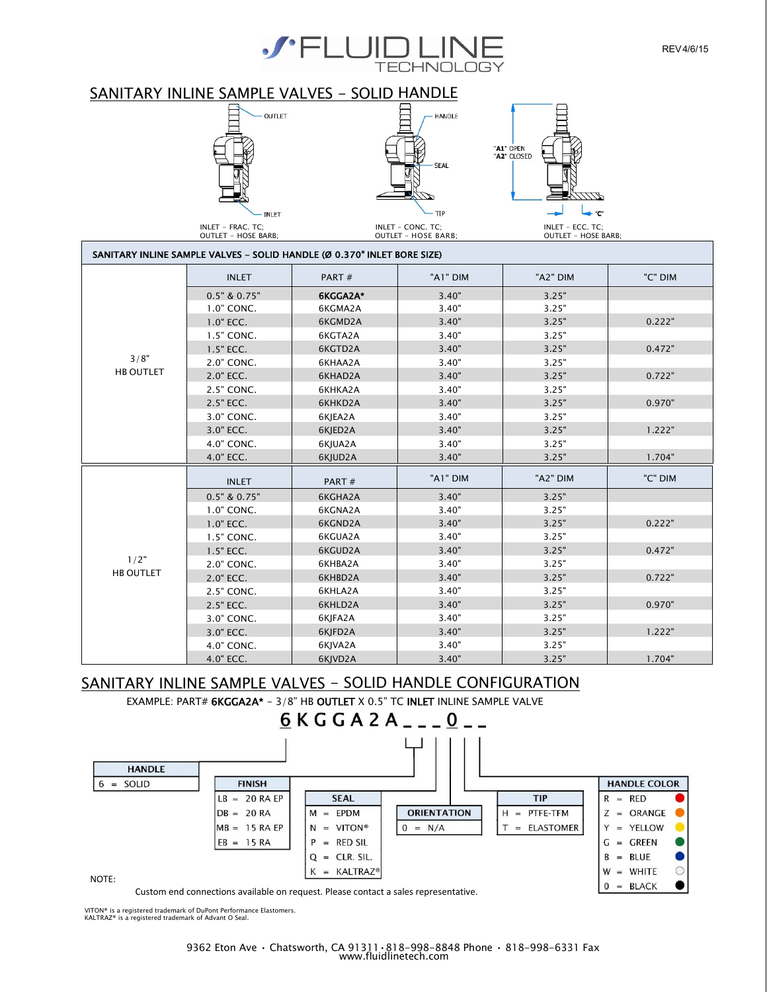

## SANITARY INLINE SAMPLE VALVES - SOLID HANDLE







INLET - FRAC. TC; INLET – CONC. TC; INLET – ECC. TC; OUTLET - HOSE BARB; OUTLET – HOSE BARB; OUTLET – HOSE BARB;

| SANITARY INLINE SAMPLE VALVES - SOLID HANDLE (Ø 0.370" INLET BORE SIZE) |                  |          |          |          |         |
|-------------------------------------------------------------------------|------------------|----------|----------|----------|---------|
|                                                                         | <b>INLET</b>     | PART#    | "A1" DIM | "A2" DIM | "C" DIM |
|                                                                         | $0.5"$ & $0.75"$ | 6KGGA2A* | 3.40"    | 3.25"    |         |
|                                                                         | 1.0" CONC.       | 6KGMA2A  | 3.40"    | 3.25"    |         |
|                                                                         | 1.0" ECC.        | 6KGMD2A  | 3.40"    | 3.25"    | 0.222"  |
|                                                                         | 1.5" CONC.       | 6KGTA2A  | 3.40"    | 3.25"    |         |
|                                                                         | 1.5" ECC.        | 6KGTD2A  | 3.40"    | 3.25"    | 0.472"  |
| 3/8"                                                                    | 2.0" CONC.       | 6KHAA2A  | 3.40"    | 3.25"    |         |
| <b>HB OUTLET</b>                                                        | 2.0" ECC.        | 6KHAD2A  | 3.40"    | 3.25"    | 0.722"  |
|                                                                         | 2.5" CONC.       | 6KHKA2A  | 3.40"    | 3.25"    |         |
|                                                                         | 2.5" ECC.        | 6KHKD2A  | 3.40"    | 3.25"    | 0.970"  |
|                                                                         | 3.0" CONC.       | 6KJEA2A  | 3.40"    | 3.25"    |         |
|                                                                         | 3.0" ECC.        | 6KJED2A  | 3.40"    | 3.25"    | 1.222"  |
|                                                                         | 4.0" CONC.       | 6KJUA2A  | 3.40"    | 3.25"    |         |
|                                                                         | 4.0" ECC.        | 6KJUD2A  | 3.40"    | 3.25"    | 1.704"  |
|                                                                         | <b>INLET</b>     | PART#    | "A1" DIM | "A2" DIM | "C" DIM |
|                                                                         | $0.5"$ & $0.75"$ | 6KGHA2A  | 3.40"    | 3.25"    |         |
|                                                                         | 1.0" CONC.       | 6KGNA2A  | 3.40"    | 3.25"    |         |
|                                                                         | 1.0" ECC.        | 6KGND2A  | 3.40"    | 3.25"    | 0.222"  |
|                                                                         | 1.5" CONC.       | 6KGUA2A  | 3.40"    | 3.25"    |         |
|                                                                         | 1.5" ECC.        | 6KGUD2A  | 3.40"    | 3.25"    | 0.472"  |
| 1/2"                                                                    | 2.0" CONC.       | 6KHBA2A  | 3.40"    | 3.25"    |         |
| <b>HB OUTLET</b>                                                        | 2.0" ECC.        | 6KHBD2A  | 3.40"    | 3.25"    | 0.722"  |
|                                                                         | 2.5" CONC.       | 6KHLA2A  | 3.40"    | 3.25"    |         |
|                                                                         | 2.5" ECC.        | 6KHLD2A  | 3.40"    | 3.25"    | 0.970"  |
|                                                                         | 3.0" CONC.       | 6KJFA2A  | 3.40"    | 3.25"    |         |
|                                                                         | 3.0" ECC.        | 6KJFD2A  | 3.40"    | 3.25"    | 1.222"  |
|                                                                         | 4.0" CONC.       | 6KJVA2A  | 3.40"    | 3.25"    |         |
|                                                                         | 4.0" ECC.        | 6KJVD2A  | 3.40"    | 3.25"    | 1.704"  |

### SANITARY INLINE SAMPLE VALVES - SOLID HANDLE CONFIGURATION

EXAMPLE: PART# 6KGGA2A\* - 3/8" HB OUTLET X 0.5" TC INLET INLINE SAMPLE VALVE



Custom end connections available on request. Please contact a sales representative.

VITON® is a registered trademark of DuPont Performance Elastomers. KALTRAZ® is a registered trademark of Advant O Seal.